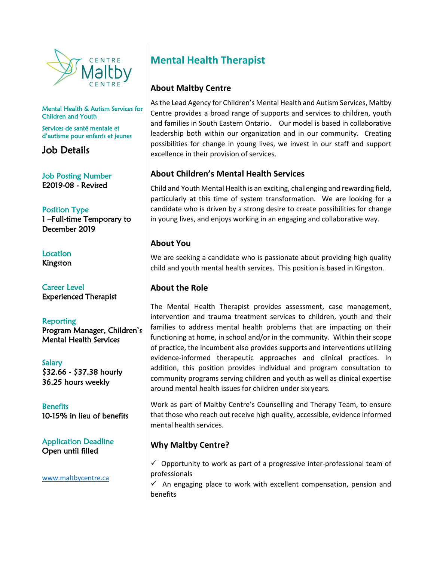

Mental Health & Autism Services for Children and Youth

Services de santé mentale et d'autisme pour enfants et jeunes

Job Details

Job Posting Number E2019-08 - Revised

Position Type 1 –Full-time Temporary to December 2019

**Location** Kingston

Career Level Experienced Therapist

**Reporting** Program Manager, Children's Mental Health Services

Salary \$32.66 - \$37.38 hourly 36.25 hours weekly

**Benefits** 10-15% in lieu of benefits

Application Deadline Open until filled

[www.maltbycentre.ca](http://www.maltbycentre.ca/)

# **Mental Health Therapist**

## **About Maltby Centre**

As the Lead Agency for Children's Mental Health and Autism Services, Maltby Centre provides a broad range of supports and services to children, youth and families in South Eastern Ontario. Our model is based in collaborative leadership both within our organization and in our community. Creating possibilities for change in young lives, we invest in our staff and support excellence in their provision of services.

# **About Children's Mental Health Services**

Child and Youth Mental Health is an exciting, challenging and rewarding field, particularly at this time of system transformation. We are looking for a candidate who is driven by a strong desire to create possibilities for change in young lives, and enjoys working in an engaging and collaborative way.

## **About You**

We are seeking a candidate who is passionate about providing high quality child and youth mental health services. This position is based in Kingston.

#### **About the Role**

The Mental Health Therapist provides assessment, case management, intervention and trauma treatment services to children, youth and their families to address mental health problems that are impacting on their functioning at home, in school and/or in the community. Within their scope of practice, the incumbent also provides supports and interventions utilizing evidence-informed therapeutic approaches and clinical practices. In addition, this position provides individual and program consultation to community programs serving children and youth as well as clinical expertise around mental health issues for children under six years.

Work as part of Maltby Centre's Counselling and Therapy Team, to ensure that those who reach out receive high quality, accessible, evidence informed mental health services.

# **Why Maltby Centre?**

 $\checkmark$  Opportunity to work as part of a progressive inter-professional team of professionals

 $\checkmark$  An engaging place to work with excellent compensation, pension and benefits